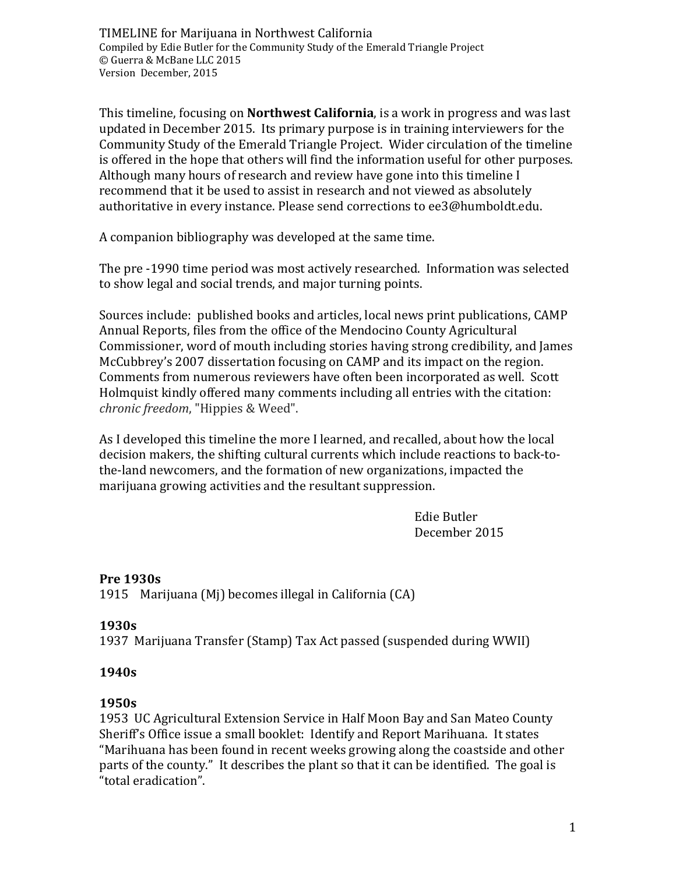This timeline, focusing on **Northwest California**, is a work in progress and was last updated in December 2015. Its primary purpose is in training interviewers for the Community Study of the Emerald Triangle Project. Wider circulation of the timeline is offered in the hope that others will find the information useful for other purposes. Although many hours of research and review have gone into this timeline I recommend that it be used to assist in research and not viewed as absolutely authoritative in every instance. Please send corrections to ee3@humboldt.edu.

A companion bibliography was developed at the same time.

The pre -1990 time period was most actively researched. Information was selected to show legal and social trends, and major turning points.

Sources include: published books and articles, local news print publications, CAMP Annual Reports, files from the office of the Mendocino County Agricultural Commissioner, word of mouth including stories having strong credibility, and James McCubbrey's 2007 dissertation focusing on CAMP and its impact on the region. Comments from numerous reviewers have often been incorporated as well. Scott Holmquist kindly offered many comments including all entries with the citation: *chronic freedom*, "Hippies & Weed".

As I developed this timeline the more I learned, and recalled, about how the local decision makers, the shifting cultural currents which include reactions to back-tothe-land newcomers, and the formation of new organizations, impacted the marijuana growing activities and the resultant suppression.

> Edie Butler December 2015

### **Pre 1930s**

1915 Marijuana (Mj) becomes illegal in California (CA)

### **1930s**

1937 Marijuana Transfer (Stamp) Tax Act passed (suspended during WWII)

### **1940s**

### **1950s**

1953 UC Agricultural Extension Service in Half Moon Bay and San Mateo County Sheriff's Office issue a small booklet: Identify and Report Marihuana. It states "Marihuana has been found in recent weeks growing along the coastside and other parts of the county." It describes the plant so that it can be identified. The goal is "total eradication".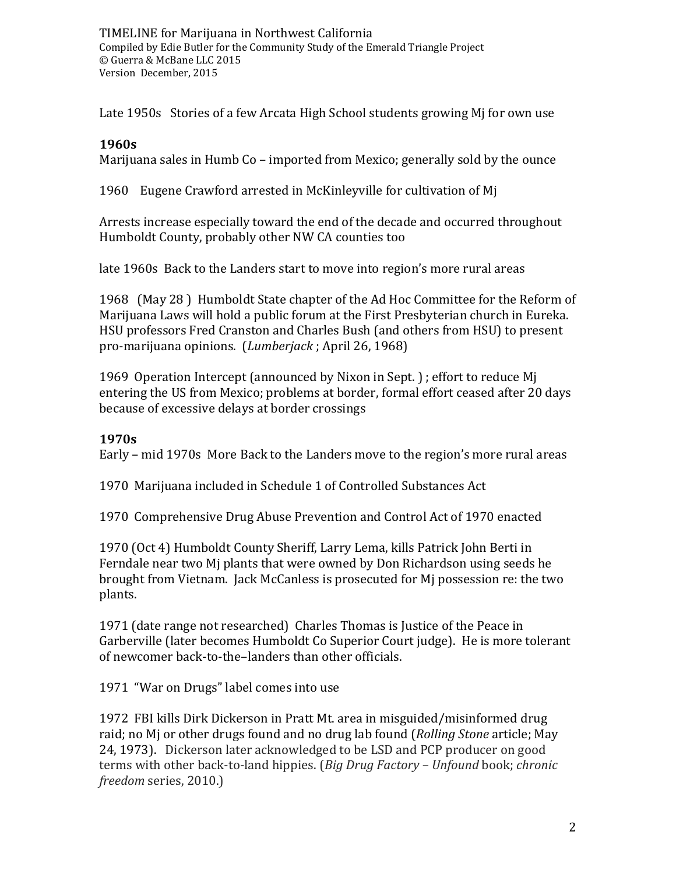Late 1950s Stories of a few Arcata High School students growing Mj for own use

#### **1960s**

Marijuana sales in Humb Co – imported from Mexico; generally sold by the ounce

1960 Eugene Crawford arrested in McKinleyville for cultivation of Mj

Arrests increase especially toward the end of the decade and occurred throughout Humboldt County, probably other NW CA counties too

late 1960s Back to the Landers start to move into region's more rural areas

1968 (May 28 ) Humboldt State chapter of the Ad Hoc Committee for the Reform of Marijuana Laws will hold a public forum at the First Presbyterian church in Eureka. HSU professors Fred Cranston and Charles Bush (and others from HSU) to present pro-marijuana opinions. (*Lumberjack* ; April 26, 1968)

1969 Operation Intercept (announced by Nixon in Sept. ) ; effort to reduce Mj entering the US from Mexico; problems at border, formal effort ceased after 20 days because of excessive delays at border crossings

### **1970s**

Early – mid 1970s More Back to the Landers move to the region's more rural areas

1970 Marijuana included in Schedule 1 of Controlled Substances Act

1970 Comprehensive Drug Abuse Prevention and Control Act of 1970 enacted

1970 (Oct 4) Humboldt County Sheriff, Larry Lema, kills Patrick John Berti in Ferndale near two Mj plants that were owned by Don Richardson using seeds he brought from Vietnam. Jack McCanless is prosecuted for Mj possession re: the two plants.

1971 (date range not researched) Charles Thomas is Justice of the Peace in Garberville (later becomes Humboldt Co Superior Court judge). He is more tolerant of newcomer back-to-the–landers than other officials.

1971 "War on Drugs" label comes into use

1972 FBI kills Dirk Dickerson in Pratt Mt. area in misguided/misinformed drug raid; no Mj or other drugs found and no drug lab found (*Rolling Stone* article; May 24, 1973). Dickerson later acknowledged to be LSD and PCP producer on good terms with other back-to-land hippies. (*Big Drug Factory – Unfound* book; *chronic freedom* series, 2010.)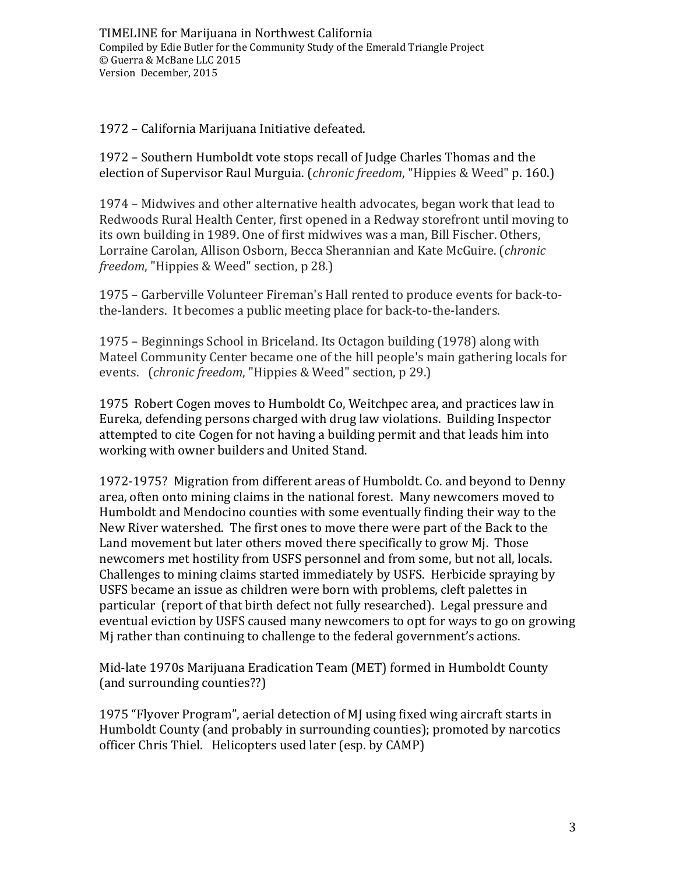1972 – California Marijuana Initiative defeated.

1972 – Southern Humboldt vote stops recall of Judge Charles Thomas and the election of Supervisor Raul Murguia. (*chronic freedom*, "Hippies & Weed" p. 160.)

1974 – Midwives and other alternative health advocates, began work that lead to Redwoods Rural Health Center, first opened in a Redway storefront until moving to its own building in 1989. One of first midwives was a man, Bill Fischer. Others, Lorraine Carolan, Allison Osborn, Becca Sherannian and Kate McGuire. (*chronic freedom*, "Hippies & Weed" section, p 28.)

1975 – Garberville Volunteer Fireman's Hall rented to produce events for back-tothe-landers. It becomes a public meeting place for back-to-the-landers.

1975 – Beginnings School in Briceland. Its Octagon building (1978) along with Mateel Community Center became one of the hill people's main gathering locals for events. (*chronic freedom*, "Hippies & Weed" section, p 29.)

1975 Robert Cogen moves to Humboldt Co, Weitchpec area, and practices law in Eureka, defending persons charged with drug law violations. Building Inspector attempted to cite Cogen for not having a building permit and that leads him into working with owner builders and United Stand.

1972-1975? Migration from different areas of Humboldt. Co. and beyond to Denny area, often onto mining claims in the national forest. Many newcomers moved to Humboldt and Mendocino counties with some eventually finding their way to the New River watershed. The first ones to move there were part of the Back to the Land movement but later others moved there specifically to grow Mj. Those newcomers met hostility from USFS personnel and from some, but not all, locals. Challenges to mining claims started immediately by USFS. Herbicide spraying by USFS became an issue as children were born with problems, cleft palettes in particular (report of that birth defect not fully researched). Legal pressure and eventual eviction by USFS caused many newcomers to opt for ways to go on growing Mj rather than continuing to challenge to the federal government's actions.

Mid-late 1970s Marijuana Eradication Team (MET) formed in Humboldt County (and surrounding counties??)

1975 "Flyover Program", aerial detection of MJ using fixed wing aircraft starts in Humboldt County (and probably in surrounding counties); promoted by narcotics officer Chris Thiel. Helicopters used later (esp. by CAMP)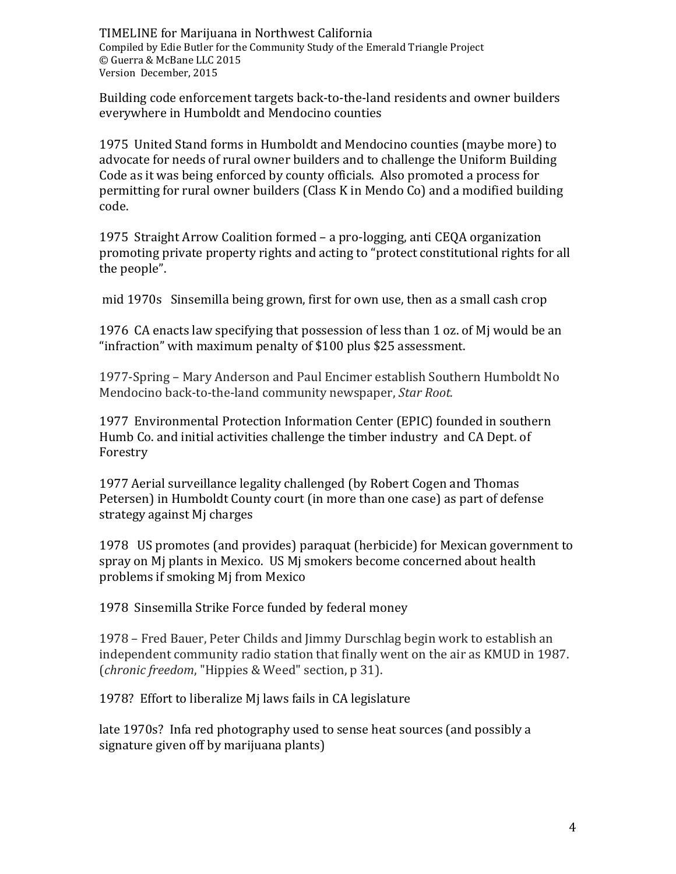Building code enforcement targets back-to-the-land residents and owner builders everywhere in Humboldt and Mendocino counties

1975 United Stand forms in Humboldt and Mendocino counties (maybe more) to advocate for needs of rural owner builders and to challenge the Uniform Building Code as it was being enforced by county officials. Also promoted a process for permitting for rural owner builders (Class K in Mendo Co) and a modified building code.

1975 Straight Arrow Coalition formed – a pro-logging, anti CEQA organization promoting private property rights and acting to "protect constitutional rights for all the people".

mid 1970s Sinsemilla being grown, first for own use, then as a small cash crop

1976 CA enacts law specifying that possession of less than 1 oz. of Mj would be an "infraction" with maximum penalty of \$100 plus \$25 assessment.

1977-Spring – Mary Anderson and Paul Encimer establish Southern Humboldt No Mendocino back-to-the-land community newspaper, *Star Root.*

1977 Environmental Protection Information Center (EPIC) founded in southern Humb Co. and initial activities challenge the timber industry and CA Dept. of Forestry

1977 Aerial surveillance legality challenged (by Robert Cogen and Thomas Petersen) in Humboldt County court (in more than one case) as part of defense strategy against Mj charges

1978 US promotes (and provides) paraquat (herbicide) for Mexican government to spray on Mj plants in Mexico. US Mj smokers become concerned about health problems if smoking Mj from Mexico

1978 Sinsemilla Strike Force funded by federal money

1978 – Fred Bauer, Peter Childs and Jimmy Durschlag begin work to establish an independent community radio station that finally went on the air as KMUD in 1987. (*chronic freedom*, "Hippies & Weed" section, p 31).

1978? Effort to liberalize Mj laws fails in CA legislature

late 1970s? Infa red photography used to sense heat sources (and possibly a signature given off by marijuana plants)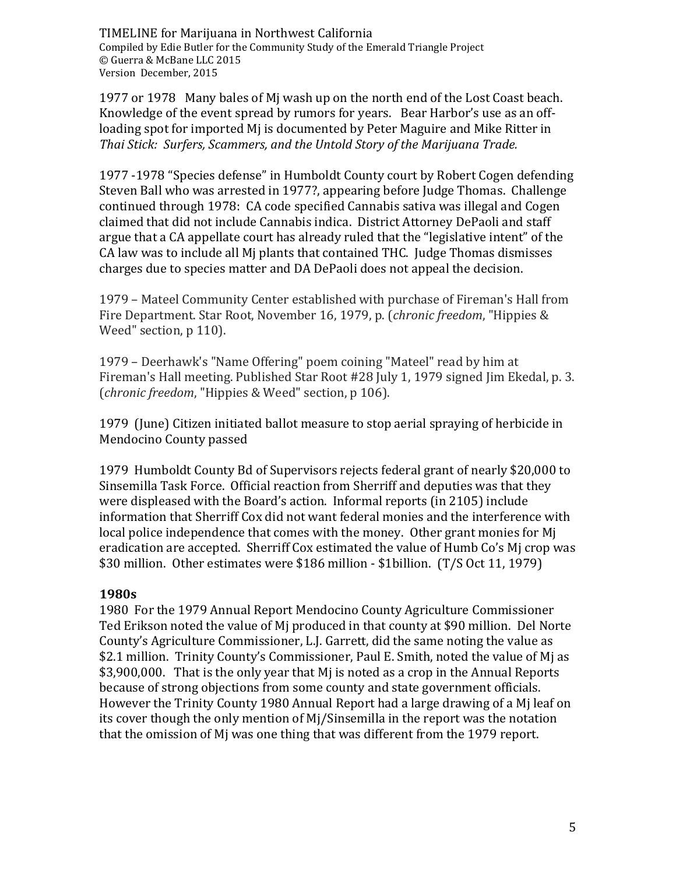1977 or 1978 Many bales of Mj wash up on the north end of the Lost Coast beach. Knowledge of the event spread by rumors for years. Bear Harbor's use as an offloading spot for imported Mj is documented by Peter Maguire and Mike Ritter in *Thai Stick: Surfers, Scammers, and the Untold Story of the Marijuana Trade.* 

1977 -1978 "Species defense" in Humboldt County court by Robert Cogen defending Steven Ball who was arrested in 1977?, appearing before Judge Thomas. Challenge continued through 1978: CA code specified Cannabis sativa was illegal and Cogen claimed that did not include Cannabis indica. District Attorney DePaoli and staff argue that a CA appellate court has already ruled that the "legislative intent" of the CA law was to include all Mj plants that contained THC. Judge Thomas dismisses charges due to species matter and DA DePaoli does not appeal the decision.

1979 – Mateel Community Center established with purchase of Fireman's Hall from Fire Department. Star Root, November 16, 1979, p. (*chronic freedom*, "Hippies & Weed" section, p 110).

1979 – Deerhawk's "Name Offering" poem coining "Mateel" read by him at Fireman's Hall meeting. Published Star Root #28 July 1, 1979 signed Jim Ekedal, p. 3. (*chronic freedom*, "Hippies & Weed" section, p 106).

1979 (June) Citizen initiated ballot measure to stop aerial spraying of herbicide in Mendocino County passed

1979 Humboldt County Bd of Supervisors rejects federal grant of nearly \$20,000 to Sinsemilla Task Force. Official reaction from Sherriff and deputies was that they were displeased with the Board's action. Informal reports (in 2105) include information that Sherriff Cox did not want federal monies and the interference with local police independence that comes with the money. Other grant monies for Mj eradication are accepted. Sherriff Cox estimated the value of Humb Co's Mj crop was \$30 million. Other estimates were \$186 million - \$1billion. (T/S Oct 11, 1979)

#### **1980s**

1980 For the 1979 Annual Report Mendocino County Agriculture Commissioner Ted Erikson noted the value of Mj produced in that county at \$90 million. Del Norte County's Agriculture Commissioner, L.J. Garrett, did the same noting the value as \$2.1 million. Trinity County's Commissioner, Paul E. Smith, noted the value of Mj as \$3,900,000. That is the only year that Mj is noted as a crop in the Annual Reports because of strong objections from some county and state government officials. However the Trinity County 1980 Annual Report had a large drawing of a Mj leaf on its cover though the only mention of Mj/Sinsemilla in the report was the notation that the omission of Mj was one thing that was different from the 1979 report.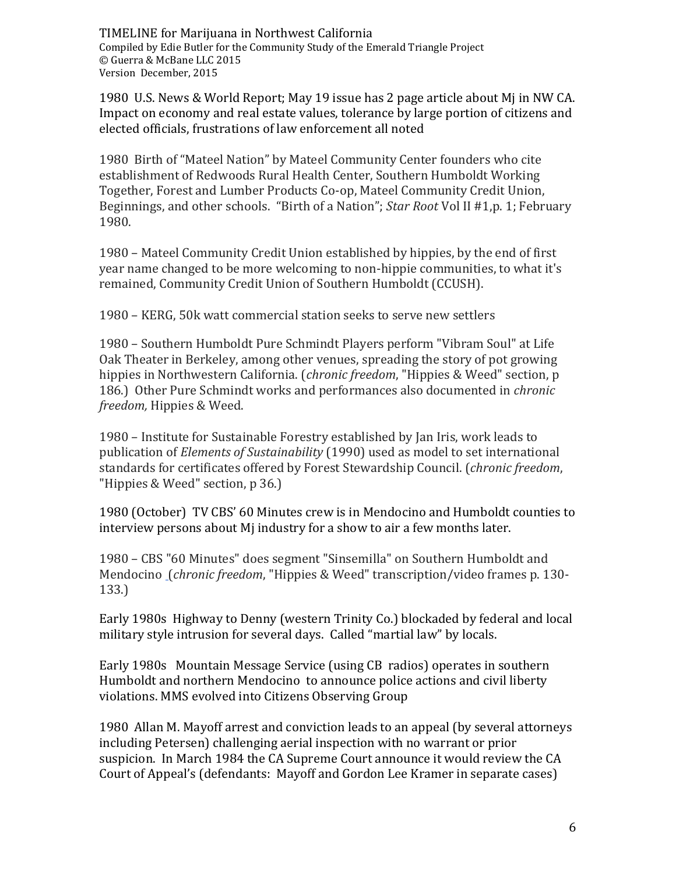1980 U.S. News & World Report; May 19 issue has 2 page article about Mj in NW CA. Impact on economy and real estate values, tolerance by large portion of citizens and elected officials, frustrations of law enforcement all noted

1980 Birth of "Mateel Nation" by Mateel Community Center founders who cite establishment of Redwoods Rural Health Center, Southern Humboldt Working Together, Forest and Lumber Products Co-op, Mateel Community Credit Union, Beginnings, and other schools. "Birth of a Nation"; *Star Root* Vol II #1,p. 1; February 1980.

1980 – Mateel Community Credit Union established by hippies, by the end of first year name changed to be more welcoming to non-hippie communities, to what it's remained, Community Credit Union of Southern Humboldt (CCUSH).

1980 – KERG, 50k watt commercial station seeks to serve new settlers

1980 – Southern Humboldt Pure Schmindt Players perform "Vibram Soul" at Life Oak Theater in Berkeley, among other venues, spreading the story of pot growing hippies in Northwestern California. (*chronic freedom*, "Hippies & Weed" section, p 186.) Other Pure Schmindt works and performances also documented in *chronic freedom,* Hippies & Weed.

1980 – Institute for Sustainable Forestry established by Jan Iris, work leads to publication of *Elements of Sustainability* (1990) used as model to set international standards for certificates offered by Forest Stewardship Council. (*chronic freedom*, "Hippies & Weed" section, p 36.)

1980 (October) TV CBS' 60 Minutes crew is in Mendocino and Humboldt counties to interview persons about Mj industry for a show to air a few months later.

1980 – CBS "60 Minutes" does segment "Sinsemilla" on Southern Humboldt and Mendocino (*chronic freedom*, "Hippies & Weed" transcription/video frames p. 130- 133.)

Early 1980s Highway to Denny (western Trinity Co.) blockaded by federal and local military style intrusion for several days. Called "martial law" by locals.

Early 1980s Mountain Message Service (using CB radios) operates in southern Humboldt and northern Mendocino to announce police actions and civil liberty violations. MMS evolved into Citizens Observing Group

1980 Allan M. Mayoff arrest and conviction leads to an appeal (by several attorneys including Petersen) challenging aerial inspection with no warrant or prior suspicion. In March 1984 the CA Supreme Court announce it would review the CA Court of Appeal's (defendants: Mayoff and Gordon Lee Kramer in separate cases)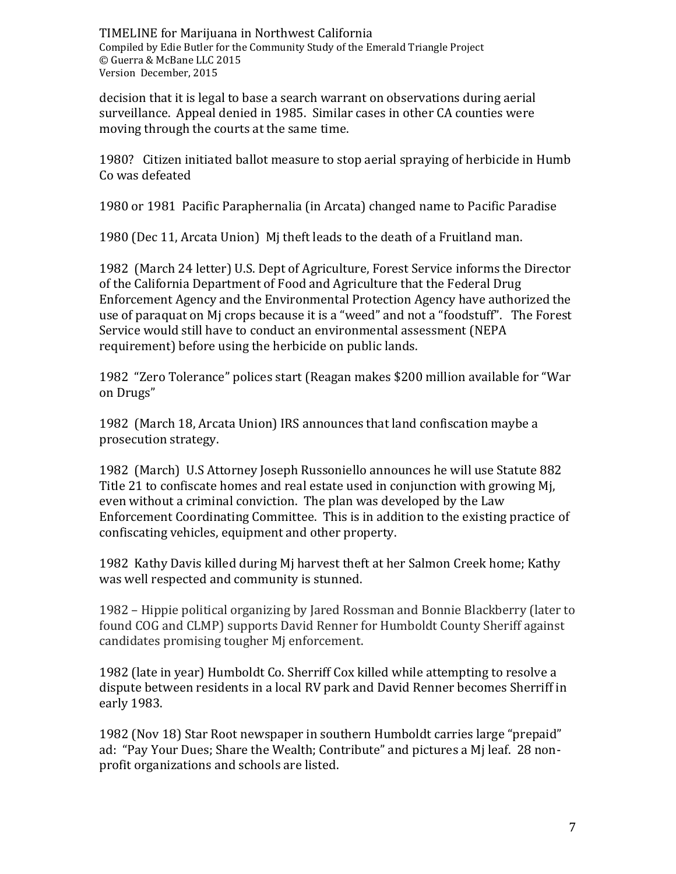decision that it is legal to base a search warrant on observations during aerial surveillance. Appeal denied in 1985. Similar cases in other CA counties were moving through the courts at the same time.

1980? Citizen initiated ballot measure to stop aerial spraying of herbicide in Humb Co was defeated

1980 or 1981 Pacific Paraphernalia (in Arcata) changed name to Pacific Paradise

1980 (Dec 11, Arcata Union) Mj theft leads to the death of a Fruitland man.

1982 (March 24 letter) U.S. Dept of Agriculture, Forest Service informs the Director of the California Department of Food and Agriculture that the Federal Drug Enforcement Agency and the Environmental Protection Agency have authorized the use of paraquat on Mj crops because it is a "weed" and not a "foodstuff". The Forest Service would still have to conduct an environmental assessment (NEPA requirement) before using the herbicide on public lands.

1982 "Zero Tolerance" polices start (Reagan makes \$200 million available for "War on Drugs"

1982 (March 18, Arcata Union) IRS announces that land confiscation maybe a prosecution strategy.

1982 (March) U.S Attorney Joseph Russoniello announces he will use Statute 882 Title 21 to confiscate homes and real estate used in conjunction with growing Mj, even without a criminal conviction. The plan was developed by the Law Enforcement Coordinating Committee. This is in addition to the existing practice of confiscating vehicles, equipment and other property.

1982 Kathy Davis killed during Mj harvest theft at her Salmon Creek home; Kathy was well respected and community is stunned.

1982 – Hippie political organizing by Jared Rossman and Bonnie Blackberry (later to found COG and CLMP) supports David Renner for Humboldt County Sheriff against candidates promising tougher Mj enforcement.

1982 (late in year) Humboldt Co. Sherriff Cox killed while attempting to resolve a dispute between residents in a local RV park and David Renner becomes Sherriff in early 1983.

1982 (Nov 18) Star Root newspaper in southern Humboldt carries large "prepaid" ad: "Pay Your Dues; Share the Wealth; Contribute" and pictures a Mj leaf. 28 nonprofit organizations and schools are listed.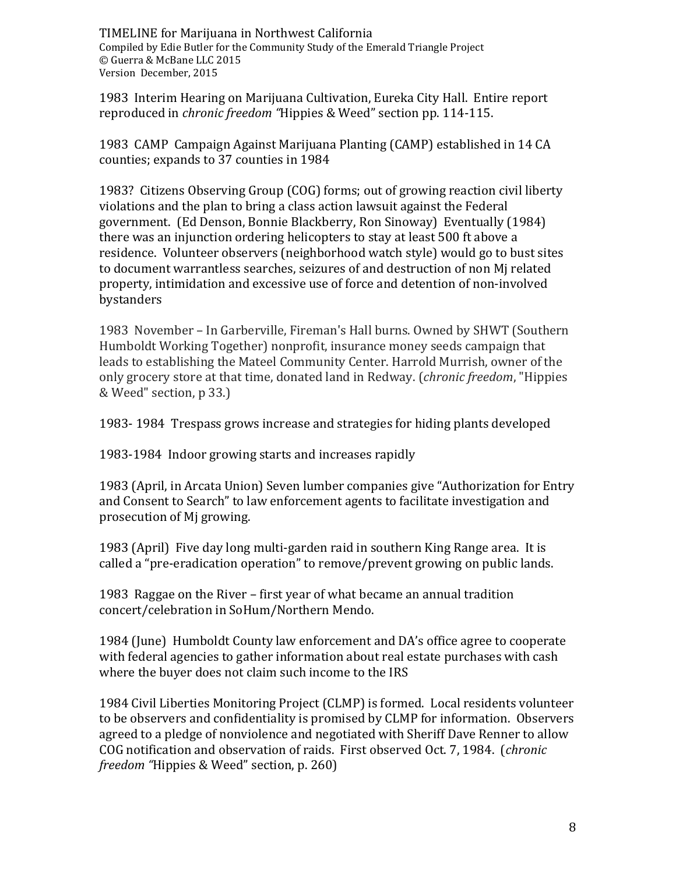1983 Interim Hearing on Marijuana Cultivation, Eureka City Hall. Entire report reproduced in *chronic freedom "*Hippies & Weed" section pp. 114-115.

1983 CAMP Campaign Against Marijuana Planting (CAMP) established in 14 CA counties; expands to 37 counties in 1984

1983? Citizens Observing Group (COG) forms; out of growing reaction civil liberty violations and the plan to bring a class action lawsuit against the Federal government. (Ed Denson, Bonnie Blackberry, Ron Sinoway) Eventually (1984) there was an injunction ordering helicopters to stay at least 500 ft above a residence. Volunteer observers (neighborhood watch style) would go to bust sites to document warrantless searches, seizures of and destruction of non Mj related property, intimidation and excessive use of force and detention of non-involved bystanders

1983 November – In Garberville, Fireman's Hall burns. Owned by SHWT (Southern Humboldt Working Together) nonprofit, insurance money seeds campaign that leads to establishing the Mateel Community Center. Harrold Murrish, owner of the only grocery store at that time, donated land in Redway. (*chronic freedom*, "Hippies & Weed" section, p 33.)

1983- 1984 Trespass grows increase and strategies for hiding plants developed

1983-1984 Indoor growing starts and increases rapidly

1983 (April, in Arcata Union) Seven lumber companies give "Authorization for Entry and Consent to Search" to law enforcement agents to facilitate investigation and prosecution of Mj growing.

1983 (April) Five day long multi-garden raid in southern King Range area. It is called a "pre-eradication operation" to remove/prevent growing on public lands.

1983 Raggae on the River – first year of what became an annual tradition concert/celebration in SoHum/Northern Mendo.

1984 (June) Humboldt County law enforcement and DA's office agree to cooperate with federal agencies to gather information about real estate purchases with cash where the buyer does not claim such income to the IRS

1984 Civil Liberties Monitoring Project (CLMP) is formed. Local residents volunteer to be observers and confidentiality is promised by CLMP for information. Observers agreed to a pledge of nonviolence and negotiated with Sheriff Dave Renner to allow COG notification and observation of raids. First observed Oct. 7, 1984. (*chronic freedom "*Hippies & Weed" section, p. 260)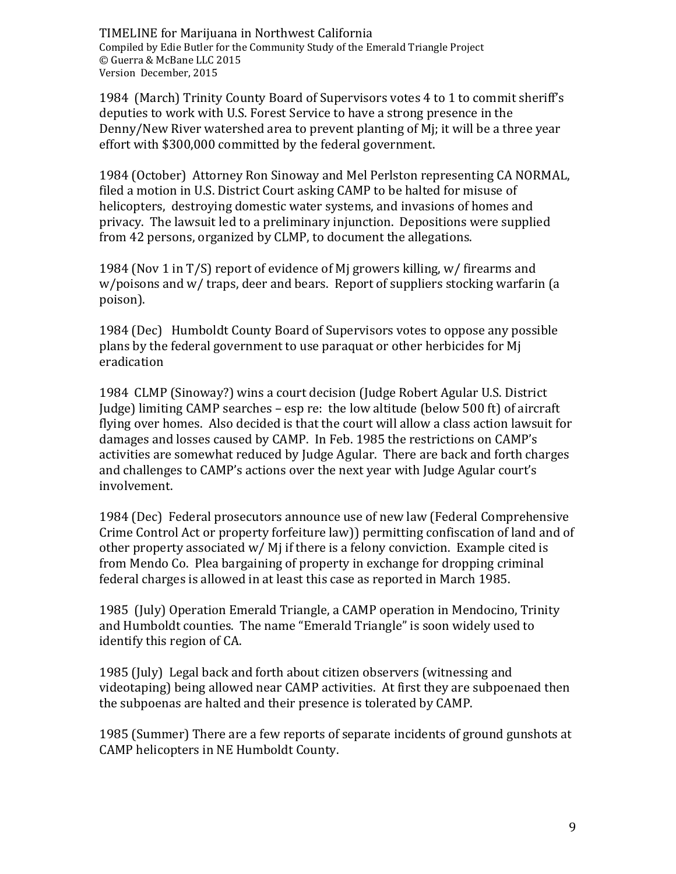1984 (March) Trinity County Board of Supervisors votes 4 to 1 to commit sheriff's deputies to work with U.S. Forest Service to have a strong presence in the Denny/New River watershed area to prevent planting of Mj; it will be a three year effort with \$300,000 committed by the federal government.

1984 (October) Attorney Ron Sinoway and Mel Perlston representing CA NORMAL, filed a motion in U.S. District Court asking CAMP to be halted for misuse of helicopters, destroying domestic water systems, and invasions of homes and privacy. The lawsuit led to a preliminary injunction. Depositions were supplied from 42 persons, organized by CLMP, to document the allegations.

1984 (Nov 1 in T/S) report of evidence of Mj growers killing, w/ firearms and w/poisons and w/ traps, deer and bears. Report of suppliers stocking warfarin (a poison).

1984 (Dec) Humboldt County Board of Supervisors votes to oppose any possible plans by the federal government to use paraquat or other herbicides for Mj eradication

1984 CLMP (Sinoway?) wins a court decision (Judge Robert Agular U.S. District Judge) limiting CAMP searches – esp re: the low altitude (below 500 ft) of aircraft flying over homes. Also decided is that the court will allow a class action lawsuit for damages and losses caused by CAMP. In Feb. 1985 the restrictions on CAMP's activities are somewhat reduced by Judge Agular. There are back and forth charges and challenges to CAMP's actions over the next year with Judge Agular court's involvement.

1984 (Dec) Federal prosecutors announce use of new law (Federal Comprehensive Crime Control Act or property forfeiture law)) permitting confiscation of land and of other property associated w/ Mj if there is a felony conviction. Example cited is from Mendo Co. Plea bargaining of property in exchange for dropping criminal federal charges is allowed in at least this case as reported in March 1985.

1985 (July) Operation Emerald Triangle, a CAMP operation in Mendocino, Trinity and Humboldt counties. The name "Emerald Triangle" is soon widely used to identify this region of CA.

1985 (July) Legal back and forth about citizen observers (witnessing and videotaping) being allowed near CAMP activities. At first they are subpoenaed then the subpoenas are halted and their presence is tolerated by CAMP.

1985 (Summer) There are a few reports of separate incidents of ground gunshots at CAMP helicopters in NE Humboldt County.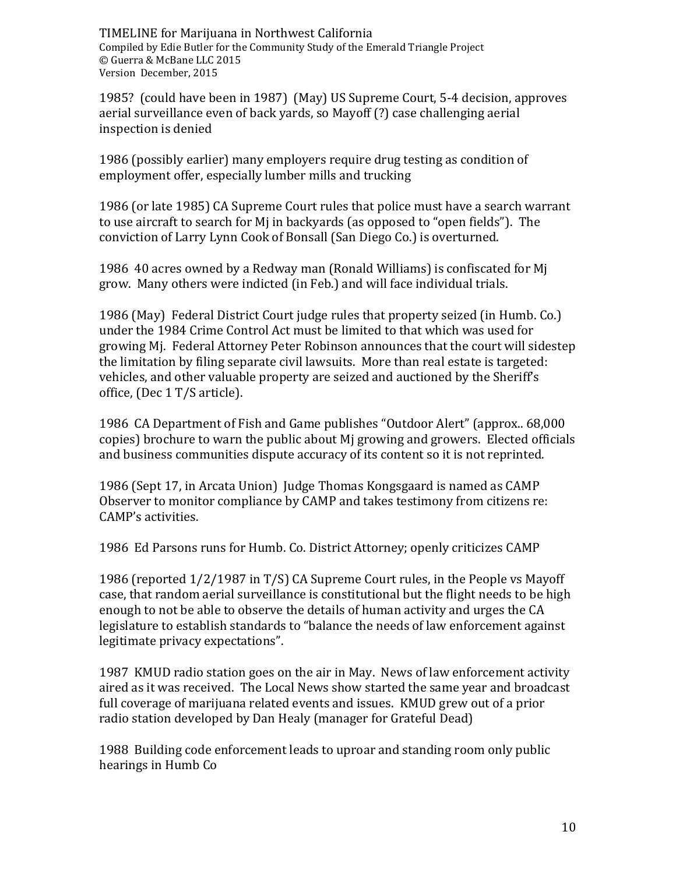1985? (could have been in 1987) (May) US Supreme Court, 5-4 decision, approves aerial surveillance even of back yards, so Mayoff (?) case challenging aerial inspection is denied

1986 (possibly earlier) many employers require drug testing as condition of employment offer, especially lumber mills and trucking

1986 (or late 1985) CA Supreme Court rules that police must have a search warrant to use aircraft to search for Mj in backyards (as opposed to "open fields"). The conviction of Larry Lynn Cook of Bonsall (San Diego Co.) is overturned.

1986 40 acres owned by a Redway man (Ronald Williams) is confiscated for Mj grow. Many others were indicted (in Feb.) and will face individual trials.

1986 (May) Federal District Court judge rules that property seized (in Humb. Co.) under the 1984 Crime Control Act must be limited to that which was used for growing Mj. Federal Attorney Peter Robinson announces that the court will sidestep the limitation by filing separate civil lawsuits. More than real estate is targeted: vehicles, and other valuable property are seized and auctioned by the Sheriff's office, (Dec 1 T/S article).

1986 CA Department of Fish and Game publishes "Outdoor Alert" (approx.. 68,000 copies) brochure to warn the public about Mj growing and growers. Elected officials and business communities dispute accuracy of its content so it is not reprinted.

1986 (Sept 17, in Arcata Union) Judge Thomas Kongsgaard is named as CAMP Observer to monitor compliance by CAMP and takes testimony from citizens re: CAMP's activities.

1986 Ed Parsons runs for Humb. Co. District Attorney; openly criticizes CAMP

1986 (reported 1/2/1987 in T/S) CA Supreme Court rules, in the People vs Mayoff case, that random aerial surveillance is constitutional but the flight needs to be high enough to not be able to observe the details of human activity and urges the CA legislature to establish standards to "balance the needs of law enforcement against legitimate privacy expectations".

1987 KMUD radio station goes on the air in May. News of law enforcement activity aired as it was received. The Local News show started the same year and broadcast full coverage of marijuana related events and issues. KMUD grew out of a prior radio station developed by Dan Healy (manager for Grateful Dead)

1988 Building code enforcement leads to uproar and standing room only public hearings in Humb Co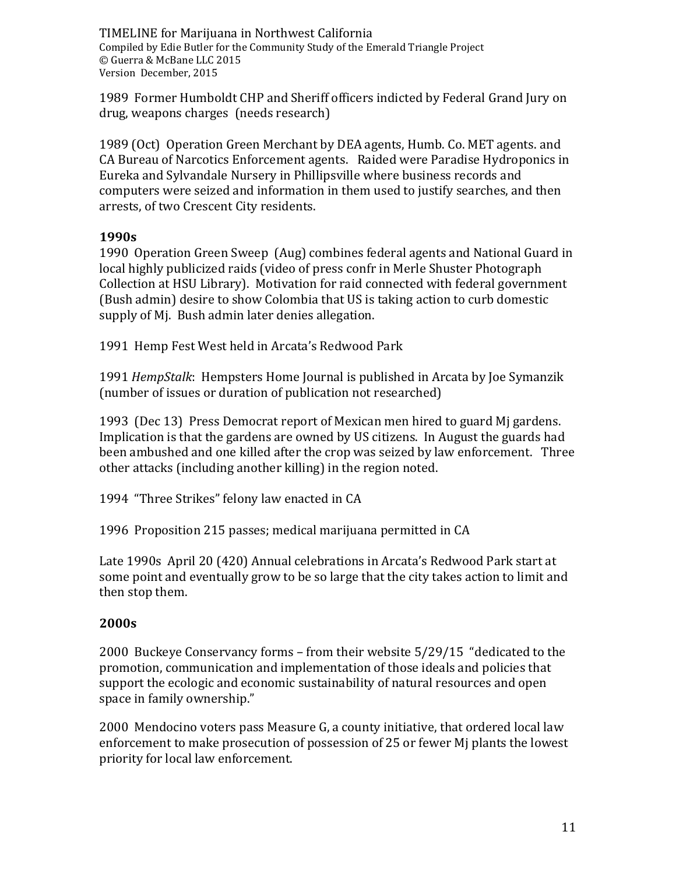1989 Former Humboldt CHP and Sheriff officers indicted by Federal Grand Jury on drug, weapons charges (needs research)

1989 (Oct) Operation Green Merchant by DEA agents, Humb. Co. MET agents. and CA Bureau of Narcotics Enforcement agents. Raided were Paradise Hydroponics in Eureka and Sylvandale Nursery in Phillipsville where business records and computers were seized and information in them used to justify searches, and then arrests, of two Crescent City residents.

## **1990s**

1990 Operation Green Sweep (Aug) combines federal agents and National Guard in local highly publicized raids (video of press confr in Merle Shuster Photograph Collection at HSU Library). Motivation for raid connected with federal government (Bush admin) desire to show Colombia that US is taking action to curb domestic supply of Mj. Bush admin later denies allegation.

1991 Hemp Fest West held in Arcata's Redwood Park

1991 *HempStalk*: Hempsters Home Journal is published in Arcata by Joe Symanzik (number of issues or duration of publication not researched)

1993 (Dec 13) Press Democrat report of Mexican men hired to guard Mj gardens. Implication is that the gardens are owned by US citizens. In August the guards had been ambushed and one killed after the crop was seized by law enforcement. Three other attacks (including another killing) in the region noted.

1994 "Three Strikes" felony law enacted in CA

1996 Proposition 215 passes; medical marijuana permitted in CA

Late 1990s April 20 (420) Annual celebrations in Arcata's Redwood Park start at some point and eventually grow to be so large that the city takes action to limit and then stop them.

# **2000s**

2000 Buckeye Conservancy forms – from their website 5/29/15 "dedicated to the promotion, communication and implementation of those ideals and policies that support the ecologic and economic sustainability of natural resources and open space in family ownership."

2000 Mendocino voters pass Measure G, a county initiative, that ordered local law enforcement to make prosecution of possession of 25 or fewer Mj plants the lowest priority for local law enforcement.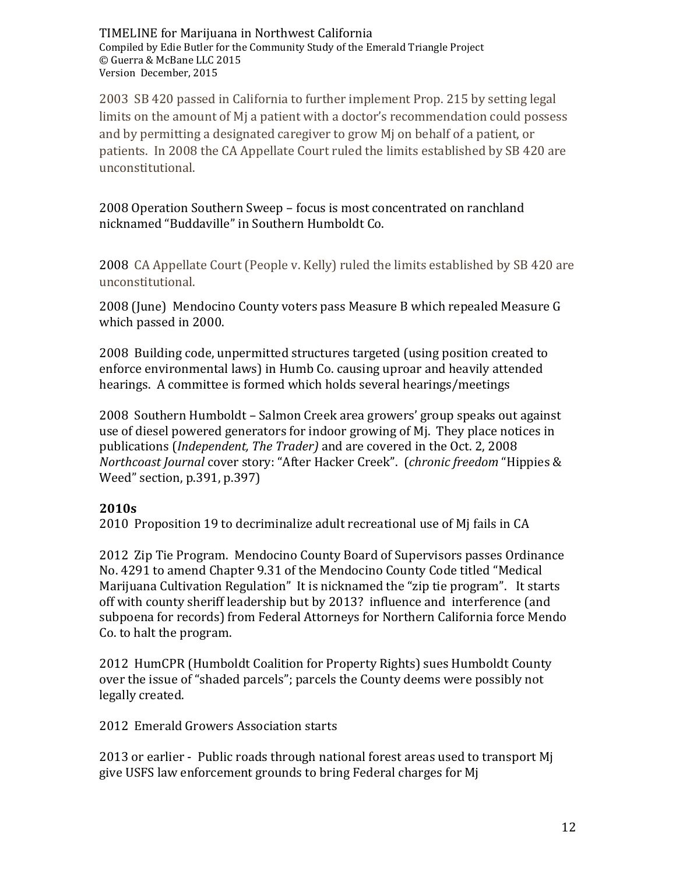2003 SB 420 passed in California to further implement Prop. 215 by setting legal limits on the amount of Mj a patient with a doctor's recommendation could possess and by permitting a designated caregiver to grow Mj on behalf of a patient, or patients. In 2008 the CA Appellate Court ruled the limits established by SB 420 are unconstitutional.

2008 Operation Southern Sweep – focus is most concentrated on ranchland nicknamed "Buddaville" in Southern Humboldt Co.

2008 CA Appellate Court (People v. Kelly) ruled the limits established by SB 420 are unconstitutional.

2008 (June) Mendocino County voters pass Measure B which repealed Measure G which passed in 2000.

2008 Building code, unpermitted structures targeted (using position created to enforce environmental laws) in Humb Co. causing uproar and heavily attended hearings. A committee is formed which holds several hearings/meetings

2008 Southern Humboldt – Salmon Creek area growers' group speaks out against use of diesel powered generators for indoor growing of Mj. They place notices in publications (*Independent, The Trader)* and are covered in the Oct. 2, 2008 *Northcoast Journal* cover story: "After Hacker Creek". (*chronic freedom* "Hippies & Weed" section, p.391, p.397)

### **2010s**

2010 Proposition 19 to decriminalize adult recreational use of Mj fails in CA

2012 Zip Tie Program. Mendocino County Board of Supervisors passes Ordinance No. 4291 to amend Chapter 9.31 of the Mendocino County Code titled "Medical Marijuana Cultivation Regulation" It is nicknamed the "zip tie program". It starts off with county sheriff leadership but by 2013? influence and interference (and subpoena for records) from Federal Attorneys for Northern California force Mendo Co. to halt the program.

2012 HumCPR (Humboldt Coalition for Property Rights) sues Humboldt County over the issue of "shaded parcels"; parcels the County deems were possibly not legally created.

2012 Emerald Growers Association starts

2013 or earlier - Public roads through national forest areas used to transport Mj give USFS law enforcement grounds to bring Federal charges for Mj